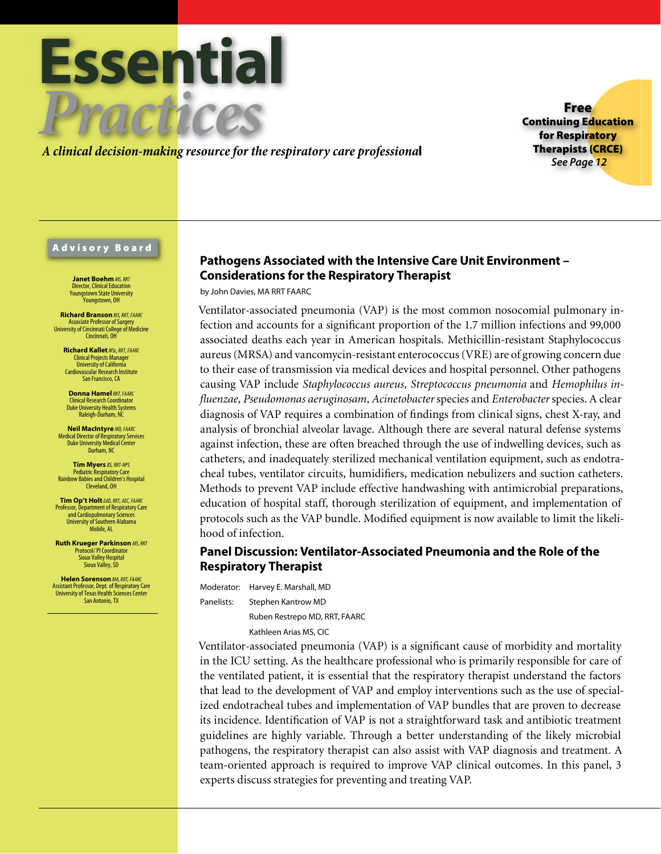

*A clinical decision-making resource for the respiratory care professiona*l

Free Continuing Education for Respiratory Therapists (CRCE) *See Page 12*

#### Advisory Board

**Janet Boehm** *MS, RRT* Director, Clinical Education Youngstown State University .<br>Younastown, OH

**Richard Branson** *MS, RRT, FAARC* Associate Professor of Surgery University of Cincinnati College of Medicine Cincinnati, OH

**Richard Kallet** *MSc, RRT, FAARC* Clinical Projects Manager University of California Cardiovascular Research Institute San Francisco, CA

**Donna Hamel***RRT, FAARC* Clinical Research Coordinator Duke University Health Systems Raleigh-Durham, NC

**Neil MacIntyre** *MD, FAARC* Medical Director of Respiratory Services Duke University Medical Center Durham, NC

**Tim Myers** *BS, RRT-NPS* Pediatric Respiratory Care Rainbow Babies and Children's Hospital Cleveland, OH

**Tim Op't Holt***EdD, RRT, AEC, FAARC* Professor, Department of Respiratory Care and Cardiopulmonary Sciences University of Southern Alabama Mobile, AL

**Ruth Krueger Parkinson** *MS, RRT* Protocol/ PI Coordinator Sioux Valley Hospital Sioux Valley, SD

**Helen Sorenson** *MA, RRT, FAARC* Assistant Professor, Dept. of Respiratory Care University of Texas Health Sciences Center San Antonio, TX

## **Pathogens Associated with the Intensive Care Unit Environment – Considerations for the Respiratory Therapist**

by John Davies, MA RRT FAARC

Ventilator-associated pneumonia (VAP) is the most common nosocomial pulmonary infection and accounts for a significant proportion of the 1.7 million infections and 99,000 associated deaths each year in American hospitals. Methicillin-resistant Staphylococcus aureus (MRSA) and vancomycin-resistant enterococcus (VRE) are of growing concern due to their ease of transmission via medical devices and hospital personnel. Other pathogens causing VAP include *Staphylococcus aureus, Streptococcus pneumonia* and *Hemophilus influenzae, Pseudomonas aeruginosam, Acinetobacter* species and *Enterobacter* species. A clear diagnosis of VAP requires a combination of findings from clinical signs, chest X-ray, and analysis of bronchial alveolar lavage. Although there are several natural defense systems against infection, these are often breached through the use of indwelling devices, such as catheters, and inadequately sterilized mechanical ventilation equipment, such as endotracheal tubes, ventilator circuits, humidifiers, medication nebulizers and suction catheters. Methods to prevent VAP include effective handwashing with antimicrobial preparations, education of hospital staff, thorough sterilization of equipment, and implementation of protocols such as the VAP bundle. Modified equipment is now available to limit the likelihood of infection.

## **Panel Discussion: Ventilator-Associated Pneumonia and the Role of the Respiratory Therapist**

Moderator: Harvey E. Marshall, MD Panelists: Stephen Kantrow MD Ruben Restrepo MD, RRT, FAARC Kathleen Arias MS, CIC

Ventilator-associated pneumonia (VAP) is a significant cause of morbidity and mortality in the ICU setting. As the healthcare professional who is primarily responsible for care of the ventilated patient, it is essential that the respiratory therapist understand the factors that lead to the development of VAP and employ interventions such as the use of specialized endotracheal tubes and implementation of VAP bundles that are proven to decrease its incidence. Identification of VAP is not a straightforward task and antibiotic treatment guidelines are highly variable. Through a better understanding of the likely microbial pathogens, the respiratory therapist can also assist with VAP diagnosis and treatment. A team-oriented approach is required to improve VAP clinical outcomes. In this panel, 3 experts discuss strategies for preventing and treating VAP.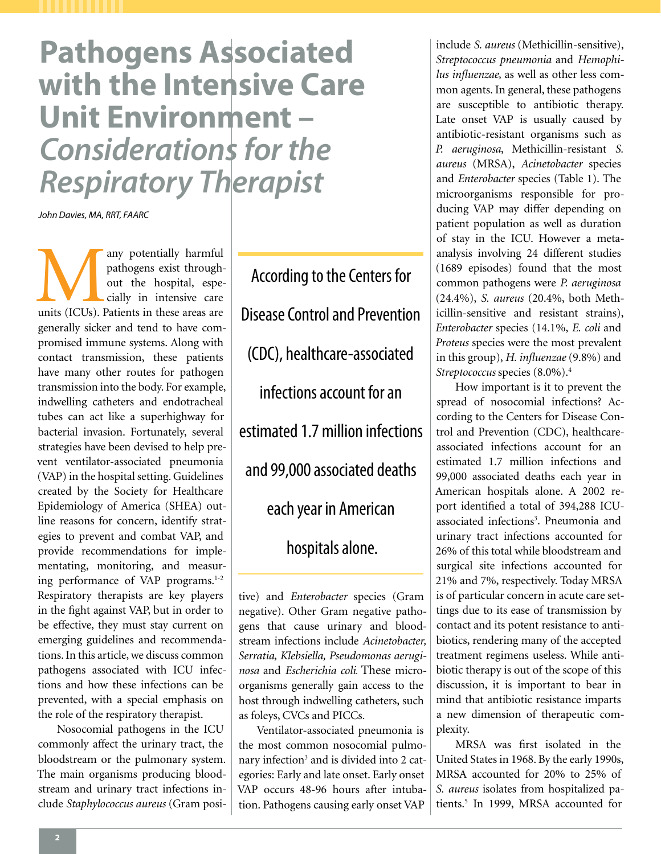**Pathogens Associated with the Intensive Care Unit Environment –**  *Considerations for the Respiratory Therapist*

*John Davies, MA, RRT, FAARC*

any potentially harmful<br>
pathogens exist through-<br>
out the hospital, espe-<br>
cially in intensive care<br>
units (ICUs). Patients in these areas are pathogens exist throughout the hospital, especially in intensive care generally sicker and tend to have compromised immune systems. Along with contact transmission, these patients have many other routes for pathogen transmission into the body. For example, indwelling catheters and endotracheal tubes can act like a superhighway for bacterial invasion. Fortunately, several strategies have been devised to help prevent ventilator-associated pneumonia (VAP) in the hospital setting. Guidelines created by the Society for Healthcare Epidemiology of America (SHEA) outline reasons for concern, identify strategies to prevent and combat VAP, and provide recommendations for implementating, monitoring, and measuring performance of VAP programs.<sup>1-2</sup> Respiratory therapists are key players in the fight against VAP, but in order to be effective, they must stay current on emerging guidelines and recommendations. In this article, we discuss common pathogens associated with ICU infections and how these infections can be prevented, with a special emphasis on the role of the respiratory therapist.

Nosocomial pathogens in the ICU commonly affect the urinary tract, the bloodstream or the pulmonary system. The main organisms producing bloodstream and urinary tract infections include *Staphylococcus aureus* (Gram posi-

According to the Centers for Disease Control and Prevention (CDC), healthcare-associated infections account for an estimated 1.7 million infections and 99,000 associated deaths each year in American hospitals alone.

tive) and *Enterobacter* species (Gram negative). Other Gram negative pathogens that cause urinary and bloodstream infections include *Acinetobacter, Serratia, Klebsiella, Pseudomonas aeruginosa* and *Escherichia coli*. These microorganisms generally gain access to the host through indwelling catheters, such as foleys, CVCs and PICCs.

Ventilator-associated pneumonia is the most common nosocomial pulmonary infection<sup>3</sup> and is divided into 2 categories: Early and late onset. Early onset VAP occurs 48-96 hours after intubation. Pathogens causing early onset VAP

include *S. aureus* (Methicillin-sensitive), *Streptococcus pneumonia* and *Hemophilus influenzae,* as well as other less common agents. In general, these pathogens are susceptible to antibiotic therapy. Late onset VAP is usually caused by antibiotic-resistant organisms such as *P. aeruginosa*, Methicillin-resistant *S. aureus* (MRSA), *Acinetobacter* species and *Enterobacter* species (Table 1). The microorganisms responsible for producing VAP may differ depending on patient population as well as duration of stay in the ICU. However a metaanalysis involving 24 different studies (1689 episodes) found that the most common pathogens were *P. aeruginosa* (24.4%), *S. aureus* (20.4%, both Methicillin-sensitive and resistant strains), *Enterobacter* species (14.1%, *E. coli* and *Proteus* species were the most prevalent in this group), *H. influenzae* (9.8%) and *Streptococcus* species (8.0%).4

How important is it to prevent the spread of nosocomial infections? According to the Centers for Disease Control and Prevention (CDC), healthcareassociated infections account for an estimated 1.7 million infections and 99,000 associated deaths each year in American hospitals alone. A 2002 report identified a total of 394,288 ICUassociated infections<sup>3</sup>. Pneumonia and urinary tract infections accounted for 26% of this total while bloodstream and surgical site infections accounted for 21% and 7%, respectively. Today MRSA is of particular concern in acute care settings due to its ease of transmission by contact and its potent resistance to antibiotics, rendering many of the accepted treatment regimens useless. While antibiotic therapy is out of the scope of this discussion, it is important to bear in mind that antibiotic resistance imparts a new dimension of therapeutic complexity.

MRSA was first isolated in the United States in 1968. By the early 1990s, MRSA accounted for 20% to 25% of *S. aureus* isolates from hospitalized patients.<sup>5</sup> In 1999, MRSA accounted for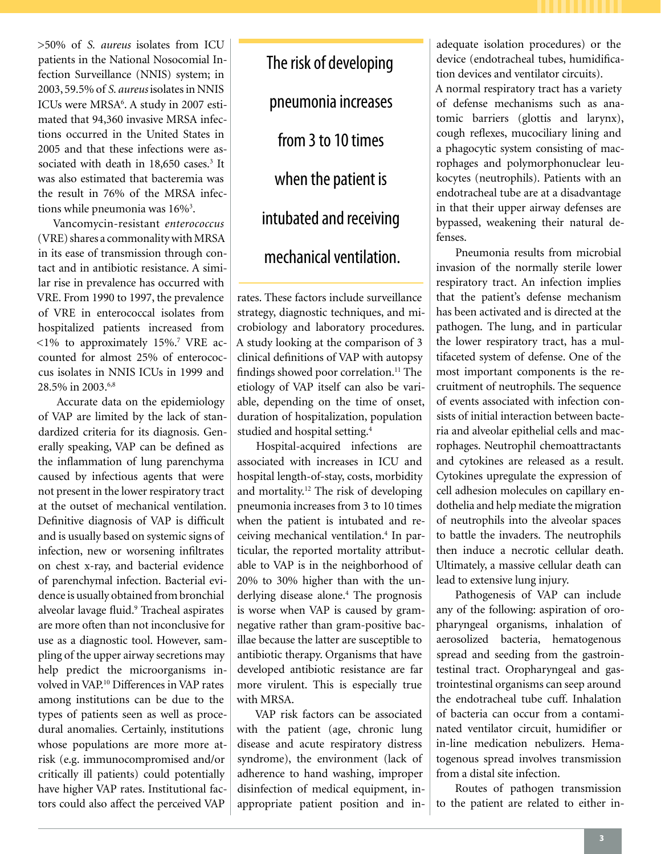>50% of *S. aureus* isolates from ICU patients in the National Nosocomial Infection Surveillance (NNIS) system; in 2003, 59.5% of *S. aureus* isolates in NNIS ICUs were MRSA<sup>6</sup>. A study in 2007 estimated that 94,360 invasive MRSA infections occurred in the United States in 2005 and that these infections were associated with death in 18,650 cases.<sup>3</sup> It was also estimated that bacteremia was the result in 76% of the MRSA infections while pneumonia was 16%<sup>3</sup>.

Vancomycin-resistant *enterococcus*  (VRE) shares a commonality with MRSA in its ease of transmission through contact and in antibiotic resistance. A similar rise in prevalence has occurred with VRE. From 1990 to 1997, the prevalence of VRE in enterococcal isolates from hospitalized patients increased from  $<$ 1% to approximately 15%.<sup>7</sup> VRE accounted for almost 25% of enterococcus isolates in NNIS ICUs in 1999 and 28.5% in 2003.6,8

Accurate data on the epidemiology of VAP are limited by the lack of standardized criteria for its diagnosis. Generally speaking, VAP can be defined as the inflammation of lung parenchyma caused by infectious agents that were not present in the lower respiratory tract at the outset of mechanical ventilation. Definitive diagnosis of VAP is difficult and is usually based on systemic signs of infection, new or worsening infiltrates on chest x-ray, and bacterial evidence of parenchymal infection. Bacterial evidence is usually obtained from bronchial alveolar lavage fluid.<sup>9</sup> Tracheal aspirates are more often than not inconclusive for use as a diagnostic tool. However, sampling of the upper airway secretions may help predict the microorganisms involved in VAP.10 Differences in VAP rates among institutions can be due to the types of patients seen as well as procedural anomalies. Certainly, institutions whose populations are more more atrisk (e.g. immunocompromised and/or critically ill patients) could potentially have higher VAP rates. Institutional factors could also affect the perceived VAP

The risk of developing pneumonia increases from 3 to 10 times when the patient is intubated and receiving mechanical ventilation.

rates. These factors include surveillance strategy, diagnostic techniques, and microbiology and laboratory procedures. A study looking at the comparison of 3 clinical definitions of VAP with autopsy findings showed poor correlation.<sup>11</sup> The etiology of VAP itself can also be variable, depending on the time of onset, duration of hospitalization, population studied and hospital setting.4

Hospital-acquired infections are associated with increases in ICU and hospital length-of-stay, costs, morbidity and mortality.12 The risk of developing pneumonia increases from 3 to 10 times when the patient is intubated and receiving mechanical ventilation.4 In particular, the reported mortality attributable to VAP is in the neighborhood of 20% to 30% higher than with the underlying disease alone.<sup>4</sup> The prognosis is worse when VAP is caused by gramnegative rather than gram-positive bacillae because the latter are susceptible to antibiotic therapy. Organisms that have developed antibiotic resistance are far more virulent. This is especially true with MRSA.

VAP risk factors can be associated with the patient (age, chronic lung disease and acute respiratory distress syndrome), the environment (lack of adherence to hand washing, improper disinfection of medical equipment, inappropriate patient position and inadequate isolation procedures) or the device (endotracheal tubes, humidification devices and ventilator circuits).

A normal respiratory tract has a variety of defense mechanisms such as anatomic barriers (glottis and larynx), cough reflexes, mucociliary lining and a phagocytic system consisting of macrophages and polymorphonuclear leukocytes (neutrophils). Patients with an endotracheal tube are at a disadvantage in that their upper airway defenses are bypassed, weakening their natural defenses.

Pneumonia results from microbial invasion of the normally sterile lower respiratory tract. An infection implies that the patient's defense mechanism has been activated and is directed at the pathogen. The lung, and in particular the lower respiratory tract, has a multifaceted system of defense. One of the most important components is the recruitment of neutrophils. The sequence of events associated with infection consists of initial interaction between bacteria and alveolar epithelial cells and macrophages. Neutrophil chemoattractants and cytokines are released as a result. Cytokines upregulate the expression of cell adhesion molecules on capillary endothelia and help mediate the migration of neutrophils into the alveolar spaces to battle the invaders. The neutrophils then induce a necrotic cellular death. Ultimately, a massive cellular death can lead to extensive lung injury.

Pathogenesis of VAP can include any of the following: aspiration of oropharyngeal organisms, inhalation of aerosolized bacteria, hematogenous spread and seeding from the gastrointestinal tract. Oropharyngeal and gastrointestinal organisms can seep around the endotracheal tube cuff. Inhalation of bacteria can occur from a contaminated ventilator circuit, humidifier or in-line medication nebulizers. Hematogenous spread involves transmission from a distal site infection.

Routes of pathogen transmission to the patient are related to either in-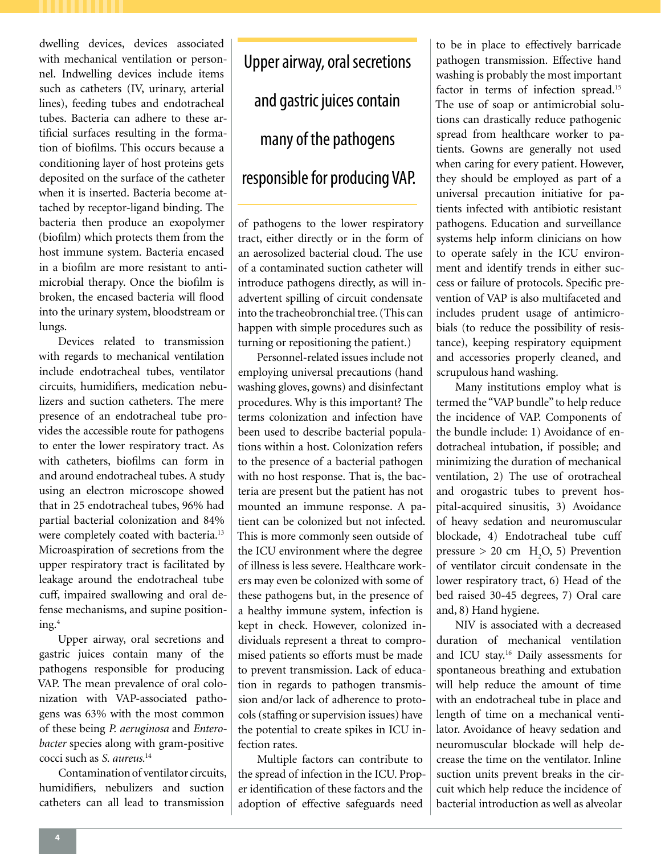dwelling devices, devices associated with mechanical ventilation or personnel. Indwelling devices include items such as catheters (IV, urinary, arterial lines), feeding tubes and endotracheal tubes. Bacteria can adhere to these artificial surfaces resulting in the formation of biofilms. This occurs because a conditioning layer of host proteins gets deposited on the surface of the catheter when it is inserted. Bacteria become attached by receptor-ligand binding. The bacteria then produce an exopolymer (biofilm) which protects them from the host immune system. Bacteria encased in a biofilm are more resistant to antimicrobial therapy. Once the biofilm is broken, the encased bacteria will flood into the urinary system, bloodstream or lungs.

Devices related to transmission with regards to mechanical ventilation include endotracheal tubes, ventilator circuits, humidifiers, medication nebulizers and suction catheters. The mere presence of an endotracheal tube provides the accessible route for pathogens to enter the lower respiratory tract. As with catheters, biofilms can form in and around endotracheal tubes. A study using an electron microscope showed that in 25 endotracheal tubes, 96% had partial bacterial colonization and 84% were completely coated with bacteria.<sup>13</sup> Microaspiration of secretions from the upper respiratory tract is facilitated by leakage around the endotracheal tube cuff, impaired swallowing and oral defense mechanisms, and supine positioning.4

Upper airway, oral secretions and gastric juices contain many of the pathogens responsible for producing VAP. The mean prevalence of oral colonization with VAP-associated pathogens was 63% with the most common of these being *P. aeruginosa* and *Enterobacter* species along with gram-positive cocci such as *S. aureus.*<sup>14</sup>

Contamination of ventilator circuits, humidifiers, nebulizers and suction catheters can all lead to transmission

Upper airway, oral secretions and gastric juices contain many of the pathogens responsible for producing VAP.

of pathogens to the lower respiratory tract, either directly or in the form of an aerosolized bacterial cloud. The use of a contaminated suction catheter will introduce pathogens directly, as will inadvertent spilling of circuit condensate into the tracheobronchial tree. (This can happen with simple procedures such as turning or repositioning the patient.)

Personnel-related issues include not employing universal precautions (hand washing gloves, gowns) and disinfectant procedures. Why is this important? The terms colonization and infection have been used to describe bacterial populations within a host. Colonization refers to the presence of a bacterial pathogen with no host response. That is, the bacteria are present but the patient has not mounted an immune response. A patient can be colonized but not infected. This is more commonly seen outside of the ICU environment where the degree of illness is less severe. Healthcare workers may even be colonized with some of these pathogens but, in the presence of a healthy immune system, infection is kept in check. However, colonized individuals represent a threat to compromised patients so efforts must be made to prevent transmission. Lack of education in regards to pathogen transmission and/or lack of adherence to protocols (staffing or supervision issues) have the potential to create spikes in ICU infection rates.

Multiple factors can contribute to the spread of infection in the ICU. Proper identification of these factors and the adoption of effective safeguards need

to be in place to effectively barricade pathogen transmission. Effective hand washing is probably the most important factor in terms of infection spread.<sup>15</sup> The use of soap or antimicrobial solutions can drastically reduce pathogenic spread from healthcare worker to patients. Gowns are generally not used when caring for every patient. However, they should be employed as part of a universal precaution initiative for patients infected with antibiotic resistant pathogens. Education and surveillance systems help inform clinicians on how to operate safely in the ICU environment and identify trends in either success or failure of protocols. Specific prevention of VAP is also multifaceted and includes prudent usage of antimicrobials (to reduce the possibility of resistance), keeping respiratory equipment and accessories properly cleaned, and scrupulous hand washing.

Many institutions employ what is termed the "VAP bundle" to help reduce the incidence of VAP. Components of the bundle include: 1) Avoidance of endotracheal intubation, if possible; and minimizing the duration of mechanical ventilation, 2) The use of orotracheal and orogastric tubes to prevent hospital-acquired sinusitis, 3) Avoidance of heavy sedation and neuromuscular blockade, 4) Endotracheal tube cuff pressure  $> 20$  cm  $H_2O$ , 5) Prevention of ventilator circuit condensate in the lower respiratory tract, 6) Head of the bed raised 30-45 degrees, 7) Oral care and, 8) Hand hygiene.

NIV is associated with a decreased duration of mechanical ventilation and ICU stay.16 Daily assessments for spontaneous breathing and extubation will help reduce the amount of time with an endotracheal tube in place and length of time on a mechanical ventilator. Avoidance of heavy sedation and neuromuscular blockade will help decrease the time on the ventilator. Inline suction units prevent breaks in the circuit which help reduce the incidence of bacterial introduction as well as alveolar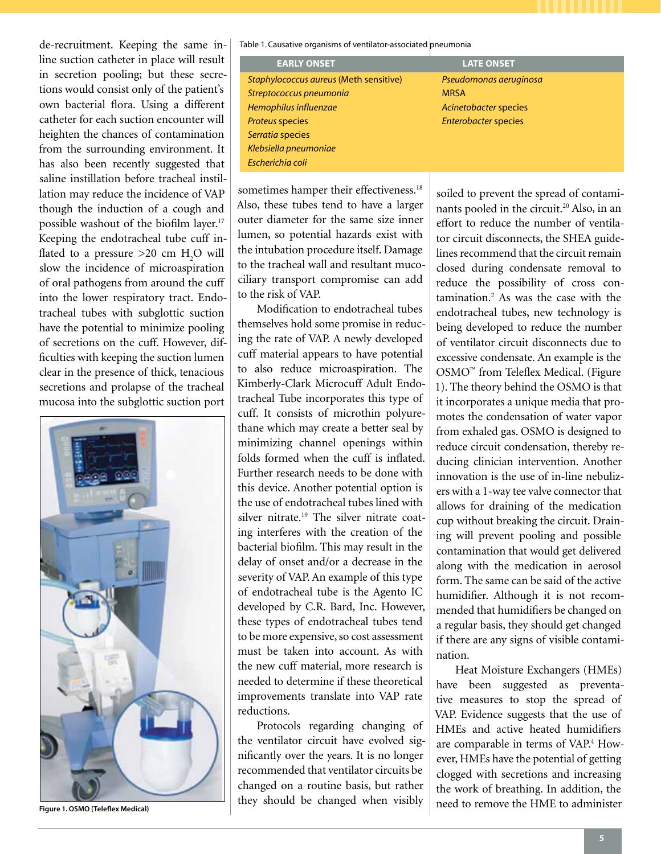de-recruitment. Keeping the same inline suction catheter in place will result in secretion pooling; but these secretions would consist only of the patient's own bacterial flora. Using a different catheter for each suction encounter will heighten the chances of contamination from the surrounding environment. It has also been recently suggested that saline instillation before tracheal instillation may reduce the incidence of VAP though the induction of a cough and possible washout of the biofilm layer.<sup>17</sup> Keeping the endotracheal tube cuff inflated to a pressure  $>$ 20 cm H<sub>2</sub>O will slow the incidence of microaspiration of oral pathogens from around the cuff into the lower respiratory tract. Endotracheal tubes with subglottic suction have the potential to minimize pooling of secretions on the cuff. However, difficulties with keeping the suction lumen clear in the presence of thick, tenacious secretions and prolapse of the tracheal mucosa into the subglottic suction port



**Figure 1. OSMO (Teleflex Medical)**

Table 1. Causative organisms of ventilator-associated pneumonia

| <b>EARLY ONSET</b>                     | <b>LATE ONSET</b>           |  |
|----------------------------------------|-----------------------------|--|
| Staphylococcus aureus (Meth sensitive) | Pseudomonas aeruginosa      |  |
| Streptococcus pneumonia                | <b>MRSA</b>                 |  |
| Hemophilus influenzae                  | Acinetobacter species       |  |
| <b>Proteus species</b>                 | <b>Enterobacter species</b> |  |
| Serratia species                       |                             |  |
| Klebsiella pneumoniae                  |                             |  |
| Escherichia coli                       |                             |  |

sometimes hamper their effectiveness.<sup>18</sup> Also, these tubes tend to have a larger outer diameter for the same size inner lumen, so potential hazards exist with the intubation procedure itself. Damage to the tracheal wall and resultant mucociliary transport compromise can add to the risk of VAP.

Modification to endotracheal tubes themselves hold some promise in reducing the rate of VAP. A newly developed cuff material appears to have potential to also reduce microaspiration. The Kimberly-Clark Microcuff Adult Endotracheal Tube incorporates this type of cuff. It consists of microthin polyurethane which may create a better seal by minimizing channel openings within folds formed when the cuff is inflated. Further research needs to be done with this device. Another potential option is the use of endotracheal tubes lined with silver nitrate.<sup>19</sup> The silver nitrate coating interferes with the creation of the bacterial biofilm. This may result in the delay of onset and/or a decrease in the severity of VAP. An example of this type of endotracheal tube is the Agento IC developed by C.R. Bard, Inc. However, these types of endotracheal tubes tend to be more expensive, so cost assessment must be taken into account. As with the new cuff material, more research is needed to determine if these theoretical improvements translate into VAP rate reductions.

Protocols regarding changing of the ventilator circuit have evolved significantly over the years. It is no longer recommended that ventilator circuits be changed on a routine basis, but rather they should be changed when visibly

soiled to prevent the spread of contaminants pooled in the circuit.<sup>20</sup> Also, in an effort to reduce the number of ventilator circuit disconnects, the SHEA guidelines recommend that the circuit remain closed during condensate removal to reduce the possibility of cross contamination.2 As was the case with the endotracheal tubes, new technology is being developed to reduce the number of ventilator circuit disconnects due to excessive condensate. An example is the OSMO™ from Teleflex Medical. (Figure 1). The theory behind the OSMO is that it incorporates a unique media that promotes the condensation of water vapor from exhaled gas. OSMO is designed to reduce circuit condensation, thereby reducing clinician intervention. Another innovation is the use of in-line nebulizers with a 1-way tee valve connector that allows for draining of the medication cup without breaking the circuit. Draining will prevent pooling and possible contamination that would get delivered along with the medication in aerosol form. The same can be said of the active humidifier. Although it is not recommended that humidifiers be changed on a regular basis, they should get changed if there are any signs of visible contamination.

Heat Moisture Exchangers (HMEs) have been suggested as preventative measures to stop the spread of VAP. Evidence suggests that the use of HMEs and active heated humidifiers are comparable in terms of VAP.<sup>4</sup> However, HMEs have the potential of getting clogged with secretions and increasing the work of breathing. In addition, the need to remove the HME to administer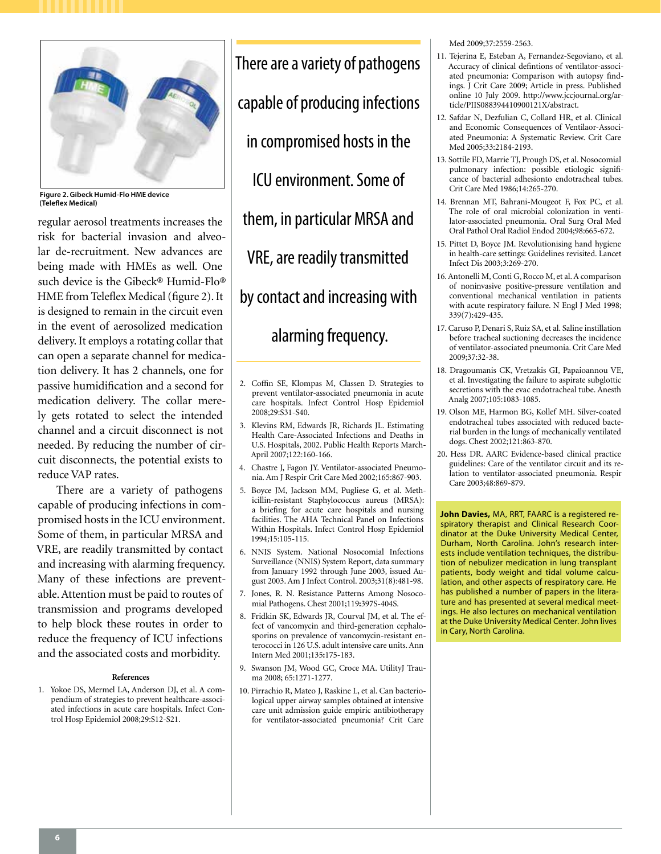

**Figure 2. Gibeck Humid-Flo HME device (Teleflex Medical)**

regular aerosol treatments increases the risk for bacterial invasion and alveolar de-recruitment. New advances are being made with HMEs as well. One such device is the Gibeck® Humid-Flo® HME from Teleflex Medical (figure 2). It is designed to remain in the circuit even in the event of aerosolized medication delivery. It employs a rotating collar that can open a separate channel for medication delivery. It has 2 channels, one for passive humidification and a second for medication delivery. The collar merely gets rotated to select the intended channel and a circuit disconnect is not needed. By reducing the number of circuit disconnects, the potential exists to reduce VAP rates.

There are a variety of pathogens capable of producing infections in compromised hosts in the ICU environment. Some of them, in particular MRSA and VRE, are readily transmitted by contact and increasing with alarming frequency. Many of these infections are preventable. Attention must be paid to routes of transmission and programs developed to help block these routes in order to reduce the frequency of ICU infections and the associated costs and morbidity.

#### **References**

1. Yokoe DS, Mermel LA, Anderson DJ, et al. A compendium of strategies to prevent healthcare-associated infections in acute care hospitals. Infect Control Hosp Epidemiol 2008;29:S12-S21.

There are a variety of pathogens capable of producing infections in compromised hosts in the ICU environment. Some of them, in particular MRSA and VRE, are readily transmitted by contact and increasing with alarming frequency.

- 2. Coffin SE, Klompas M, Classen D. Strategies to prevent ventilator-associated pneumonia in acute care hospitals. Infect Control Hosp Epidemiol 2008;29:S31-S40.
- 3. Klevins RM, Edwards JR, Richards JL. Estimating Health Care-Associated Infections and Deaths in U.S. Hospitals, 2002. Public Health Reports March-April 2007;122:160-166.
- 4. Chastre J, Fagon JY. Ventilator-associated Pneumonia. Am J Respir Crit Care Med 2002;165:867-903.
- 5. Boyce JM, Jackson MM, Pugliese G, et al. Methicillin-resistant Staphylococcus aureus (MRSA): a briefing for acute care hospitals and nursing facilities. The AHA Technical Panel on Infections Within Hospitals. Infect Control Hosp Epidemiol 1994*;*15:105-115.
- 6. NNIS System. National Nosocomial Infections Surveillance (NNIS) System Report, data summary from January 1992 through June 2003, issued August 2003. Am J Infect Control. 2003;31(8):481-98.
- 7. Jones, R. N. Resistance Patterns Among Nosocomial Pathogens. Chest 2001;119**:**397S-404S.
- 8. Fridkin SK, Edwards JR, Courval JM, et al. The effect of vancomycin and third-generation cephalosporins on prevalence of vancomycin-resistant enterococci in 126 U.S. adult intensive care units. Ann Intern Med 2001;135**:**175-183.
- 9. Swanson JM, Wood GC, Croce MA. UtilityJ Trauma 2008; 65:1271-1277.
- 10. Pirrachio R, Mateo J, Raskine L, et al. Can bacteriological upper airway samples obtained at intensive care unit admission guide empiric antibiotherapy for ventilator-associated pneumonia? Crit Care

Med 2009;37:2559-2563.

- 11. Tejerina E, Esteban A, Fernandez-Segoviano, et al. Accuracy of clinical defintions of ventilator-associated pneumonia: Comparison with autopsy findings. J Crit Care 2009; Article in press. Published online 10 July 2009. http://www.jccjournal.org/article/PIIS088394410900121X/abstract.
- 12. Safdar N, Dezfulian C, Collard HR, et al. Clinical and Economic Consequences of Ventilaor-Associated Pneumonia: A Systematic Review. Crit Care Med 2005;33:2184-2193.
- 13. Sottile FD, Marrie TJ, Prough DS, et al. Nosocomial pulmonary infection: possible etiologic significance of bacterial adhesionto endotracheal tubes. Crit Care Med 1986;14:265-270.
- 14. Brennan MT, Bahrani-Mougeot F, Fox PC, et al. The role of oral microbial colonization in ventilator-associated pneumonia. Oral Surg Oral Med Oral Pathol Oral Radiol Endod 2004;98:665-672.
- 15. Pittet D, Boyce JM. Revolutionising hand hygiene in health-care settings: Guidelines revisited. Lancet Infect Dis 2003;3:269-270.
- 16. Antonelli M, Conti G, Rocco M, et al. A comparison of noninvasive positive-pressure ventilation and conventional mechanical ventilation in patients with acute respiratory failure. N Engl J Med 1998; 339(7):429-435.
- 17. Caruso P, Denari S, Ruiz SA, et al. Saline instillation before tracheal suctioning decreases the incidence of ventilator-associated pneumonia. Crit Care Med 2009;37:32-38.
- 18. Dragoumanis CK, Vretzakis GI, Papaioannou VE, et al. Investigating the failure to aspirate subglottic secretions with the evac endotracheal tube. Anesth Analg 2007;105:1083-1085.
- 19. Olson ME, Harmon BG, Kollef MH. Silver-coated endotracheal tubes associated with reduced bacterial burden in the lungs of mechanically ventilated dogs. Chest 2002;121:863-870.
- 20. Hess DR. AARC Evidence-based clinical practice guidelines: Care of the ventilator circuit and its relation to ventilator-associated pneumonia. Respir Care 2003;48:869-879.

**John Davies,** MA, RRT, FAARC is a registered respiratory therapist and Clinical Research Coordinator at the Duke University Medical Center, Durham, North Carolina. John's research interests include ventilation techniques, the distribution of nebulizer medication in lung transplant patients, body weight and tidal volume calculation, and other aspects of respiratory care. He has published a number of papers in the literature and has presented at several medical meetings. He also lectures on mechanical ventilation at the Duke University Medical Center. John lives in Cary, North Carolina.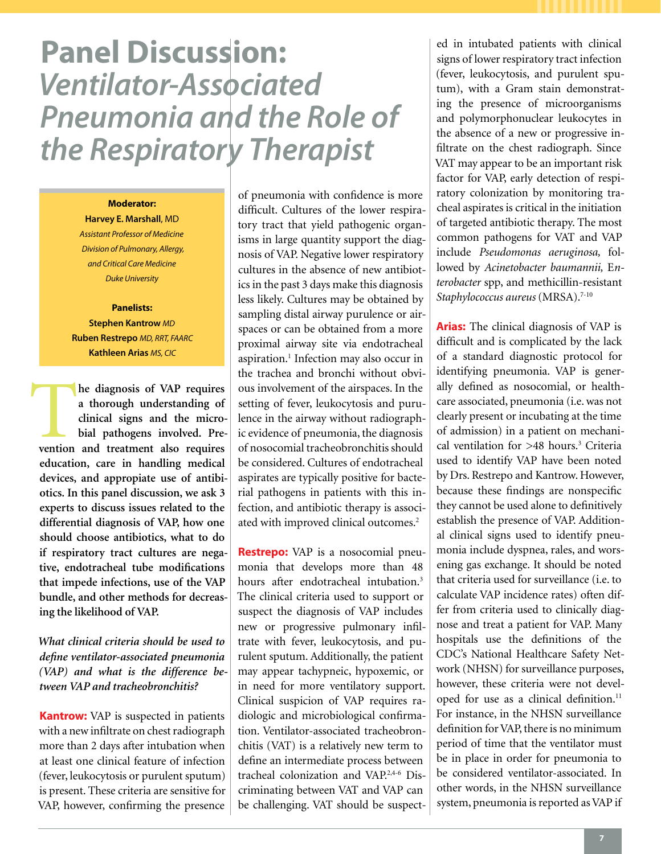# **Panel Discussion:**  *Ventilator-Associated Pneumonia and the Role of the Respiratory Therapist*

## **Moderator:**

**Harvey E. Marshall**, MD *Assistant Professor of Medicine Division of Pulmonary, Allergy, and Critical Care Medicine Duke University*

## **Panelists: Stephen Kantrow** *MD* **Ruben Restrepo** *MD, RRT, FAARC* **Kathleen Arias** *MS, CIC*

I

**1 h**e diagnosis of VAP requires a thorough understanding of clinical signs and the microbial pathogens involved. Prevention and treatment also requires **a thorough understanding of clinical signs and the microbial pathogens involved. Preeducation, care in handling medical devices, and appropiate use of antibiotics. In this panel discussion, we ask 3 experts to discuss issues related to the differential diagnosis of VAP, how one should choose antibiotics, what to do if respiratory tract cultures are negative, endotracheal tube modifications that impede infections, use of the VAP bundle, and other methods for decreasing the likelihood of VAP.** 

*What clinical criteria should be used to define ventilator-associated pneumonia (VAP) and what is the difference between VAP and tracheobronchitis?*

**Kantrow:** VAP is suspected in patients with a new infiltrate on chest radiograph more than 2 days after intubation when at least one clinical feature of infection (fever, leukocytosis or purulent sputum) is present. These criteria are sensitive for VAP, however, confirming the presence

of pneumonia with confidence is more difficult. Cultures of the lower respiratory tract that yield pathogenic organisms in large quantity support the diagnosis of VAP. Negative lower respiratory cultures in the absence of new antibiotics in the past 3 days make this diagnosis less likely. Cultures may be obtained by sampling distal airway purulence or airspaces or can be obtained from a more proximal airway site via endotracheal aspiration.<sup>1</sup> Infection may also occur in the trachea and bronchi without obvious involvement of the airspaces. In the setting of fever, leukocytosis and purulence in the airway without radiographic evidence of pneumonia, the diagnosis of nosocomial tracheobronchitis should be considered. Cultures of endotracheal aspirates are typically positive for bacterial pathogens in patients with this infection, and antibiotic therapy is associated with improved clinical outcomes.<sup>2</sup>

**Restrepo:** VAP is a nosocomial pneumonia that develops more than 48 hours after endotracheal intubation.<sup>3</sup> The clinical criteria used to support or suspect the diagnosis of VAP includes new or progressive pulmonary infiltrate with fever, leukocytosis, and purulent sputum. Additionally, the patient may appear tachypneic, hypoxemic, or in need for more ventilatory support. Clinical suspicion of VAP requires radiologic and microbiological confirmation. Ventilator-associated tracheobronchitis (VAT) is a relatively new term to define an intermediate process between tracheal colonization and VAP.2,4-6 Discriminating between VAT and VAP can be challenging. VAT should be suspect-

ed in intubated patients with clinical signs of lower respiratory tract infection (fever, leukocytosis, and purulent sputum), with a Gram stain demonstrating the presence of microorganisms and polymorphonuclear leukocytes in the absence of a new or progressive infiltrate on the chest radiograph. Since VAT may appear to be an important risk factor for VAP, early detection of respiratory colonization by monitoring tracheal aspirates is critical in the initiation of targeted antibiotic therapy. The most common pathogens for VAT and VAP include *Pseudomonas aeruginosa,* followed by *Acinetobacter baumannii,* E*nterobacter* spp, and methicillin-resistant Staphylococcus aureus (MRSA).<sup>7-10</sup>

**Arias:** The clinical diagnosis of VAP is difficult and is complicated by the lack of a standard diagnostic protocol for identifying pneumonia. VAP is generally defined as nosocomial, or healthcare associated, pneumonia (i.e. was not clearly present or incubating at the time of admission) in a patient on mechanical ventilation for >48 hours.<sup>3</sup> Criteria used to identify VAP have been noted by Drs. Restrepo and Kantrow. However, because these findings are nonspecific they cannot be used alone to definitively establish the presence of VAP. Additional clinical signs used to identify pneumonia include dyspnea, rales, and worsening gas exchange. It should be noted that criteria used for surveillance (i.e. to calculate VAP incidence rates) often differ from criteria used to clinically diagnose and treat a patient for VAP. Many hospitals use the definitions of the CDC's National Healthcare Safety Network (NHSN) for surveillance purposes, however, these criteria were not developed for use as a clinical definition.<sup>11</sup> For instance, in the NHSN surveillance definition for VAP, there is no minimum period of time that the ventilator must be in place in order for pneumonia to be considered ventilator-associated. In other words, in the NHSN surveillance system, pneumonia is reported as VAP if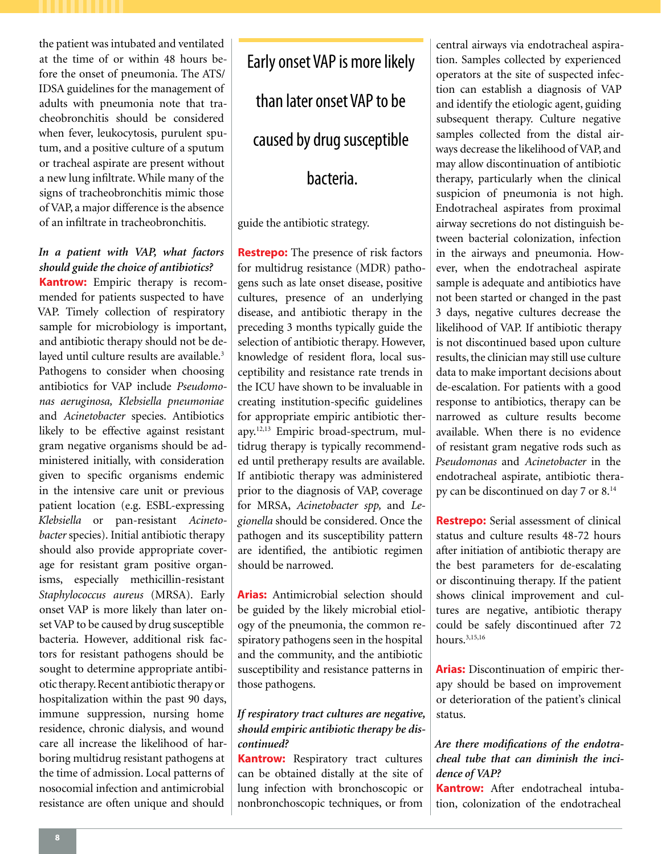the patient was intubated and ventilated at the time of or within 48 hours before the onset of pneumonia. The ATS/ IDSA guidelines for the management of adults with pneumonia note that tracheobronchitis should be considered when fever, leukocytosis, purulent sputum, and a positive culture of a sputum or tracheal aspirate are present without a new lung infiltrate. While many of the signs of tracheobronchitis mimic those of VAP, a major difference is the absence of an infiltrate in tracheobronchitis.

## *In a patient with VAP, what factors should guide the choice of antibiotics?*

**Kantrow:** Empiric therapy is recommended for patients suspected to have VAP. Timely collection of respiratory sample for microbiology is important, and antibiotic therapy should not be delayed until culture results are available.<sup>3</sup> Pathogens to consider when choosing antibiotics for VAP include *Pseudomonas aeruginosa, Klebsiella pneumoniae* and *Acinetobacter* species. Antibiotics likely to be effective against resistant gram negative organisms should be administered initially, with consideration given to specific organisms endemic in the intensive care unit or previous patient location (e.g. ESBL-expressing *Klebsiella* or pan-resistant *Acinetobacter* species). Initial antibiotic therapy should also provide appropriate coverage for resistant gram positive organisms, especially methicillin-resistant *Staphylococcus aureus* (MRSA). Early onset VAP is more likely than later onset VAP to be caused by drug susceptible bacteria. However, additional risk factors for resistant pathogens should be sought to determine appropriate antibiotic therapy. Recent antibiotic therapy or hospitalization within the past 90 days, immune suppression, nursing home residence, chronic dialysis, and wound care all increase the likelihood of harboring multidrug resistant pathogens at the time of admission. Local patterns of nosocomial infection and antimicrobial resistance are often unique and should

Early onset VAP is more likely than later onset VAP to be caused by drug susceptible bacteria.

guide the antibiotic strategy.

**Restrepo:** The presence of risk factors for multidrug resistance (MDR) pathogens such as late onset disease, positive cultures, presence of an underlying disease, and antibiotic therapy in the preceding 3 months typically guide the selection of antibiotic therapy. However, knowledge of resident flora, local susceptibility and resistance rate trends in the ICU have shown to be invaluable in creating institution-specific guidelines for appropriate empiric antibiotic therapy.12,13 Empiric broad-spectrum, multidrug therapy is typically recommended until pretherapy results are available. If antibiotic therapy was administered prior to the diagnosis of VAP, coverage for MRSA, *Acinetobacter spp,* and *Legionella* should be considered. Once the pathogen and its susceptibility pattern are identified, the antibiotic regimen should be narrowed.

**Arias:** Antimicrobial selection should be guided by the likely microbial etiology of the pneumonia, the common respiratory pathogens seen in the hospital and the community, and the antibiotic susceptibility and resistance patterns in those pathogens.

## *If respiratory tract cultures are negative, should empiric antibiotic therapy be discontinued?*

**Kantrow:** Respiratory tract cultures can be obtained distally at the site of lung infection with bronchoscopic or nonbronchoscopic techniques, or from central airways via endotracheal aspiration. Samples collected by experienced operators at the site of suspected infection can establish a diagnosis of VAP and identify the etiologic agent, guiding subsequent therapy. Culture negative samples collected from the distal airways decrease the likelihood of VAP, and may allow discontinuation of antibiotic therapy, particularly when the clinical suspicion of pneumonia is not high. Endotracheal aspirates from proximal airway secretions do not distinguish between bacterial colonization, infection in the airways and pneumonia. However, when the endotracheal aspirate sample is adequate and antibiotics have not been started or changed in the past 3 days, negative cultures decrease the likelihood of VAP. If antibiotic therapy is not discontinued based upon culture results, the clinician may still use culture data to make important decisions about de-escalation. For patients with a good response to antibiotics, therapy can be narrowed as culture results become available. When there is no evidence of resistant gram negative rods such as *Pseudomonas* and *Acinetobacter* in the endotracheal aspirate, antibiotic therapy can be discontinued on day 7 or 8.14

**Restrepo:** Serial assessment of clinical status and culture results 48-72 hours after initiation of antibiotic therapy are the best parameters for de-escalating or discontinuing therapy. If the patient shows clinical improvement and cultures are negative, antibiotic therapy could be safely discontinued after 72 hours.3,15,16

**Arias:** Discontinuation of empiric therapy should be based on improvement or deterioration of the patient's clinical status.

## *Are there modifications of the endotracheal tube that can diminish the incidence of VAP?*

**Kantrow:** After endotracheal intubation, colonization of the endotracheal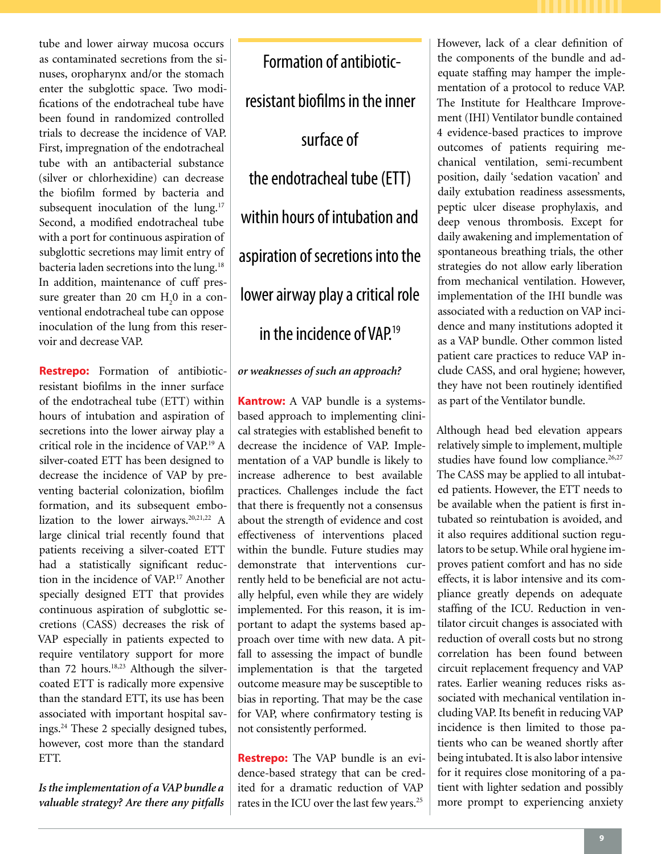tube and lower airway mucosa occurs as contaminated secretions from the sinuses, oropharynx and/or the stomach enter the subglottic space. Two modifications of the endotracheal tube have been found in randomized controlled trials to decrease the incidence of VAP. First, impregnation of the endotracheal tube with an antibacterial substance (silver or chlorhexidine) can decrease the biofilm formed by bacteria and subsequent inoculation of the lung.<sup>17</sup> Second, a modified endotracheal tube with a port for continuous aspiration of subglottic secretions may limit entry of bacteria laden secretions into the lung.<sup>18</sup> In addition, maintenance of cuff pressure greater than 20 cm  $H_2$ 0 in a conventional endotracheal tube can oppose inoculation of the lung from this reservoir and decrease VAP.

**Restrepo:** Formation of antibioticresistant biofilms in the inner surface of the endotracheal tube (ETT) within hours of intubation and aspiration of secretions into the lower airway play a critical role in the incidence of VAP.19 A silver-coated ETT has been designed to decrease the incidence of VAP by preventing bacterial colonization, biofilm formation, and its subsequent embolization to the lower airways.<sup>20,21,22</sup> A large clinical trial recently found that patients receiving a silver-coated ETT had a statistically significant reduction in the incidence of VAP.<sup>17</sup> Another specially designed ETT that provides continuous aspiration of subglottic secretions (CASS) decreases the risk of VAP especially in patients expected to require ventilatory support for more than 72 hours.<sup>18,23</sup> Although the silvercoated ETT is radically more expensive than the standard ETT, its use has been associated with important hospital savings.24 These 2 specially designed tubes, however, cost more than the standard ETT.

*Is the implementation of a VAP bundle a valuable strategy? Are there any pitfalls* 

Formation of antibioticresistant biofilms in the inner surface of the endotracheal tube (ETT) within hours of intubation and aspiration of secretions into the lower airway play a critical role in the incidence of  $VAP^{19}$ 

## *or weaknesses of such an approach?*

**Kantrow:** A VAP bundle is a systemsbased approach to implementing clinical strategies with established benefit to decrease the incidence of VAP. Implementation of a VAP bundle is likely to increase adherence to best available practices. Challenges include the fact that there is frequently not a consensus about the strength of evidence and cost effectiveness of interventions placed within the bundle. Future studies may demonstrate that interventions currently held to be beneficial are not actually helpful, even while they are widely implemented. For this reason, it is important to adapt the systems based approach over time with new data. A pitfall to assessing the impact of bundle implementation is that the targeted outcome measure may be susceptible to bias in reporting. That may be the case for VAP, where confirmatory testing is not consistently performed.

**Restrepo:** The VAP bundle is an evidence-based strategy that can be credited for a dramatic reduction of VAP rates in the ICU over the last few years.<sup>25</sup>

However, lack of a clear definition of the components of the bundle and adequate staffing may hamper the implementation of a protocol to reduce VAP. The Institute for Healthcare Improvement (IHI) Ventilator bundle contained 4 evidence-based practices to improve outcomes of patients requiring mechanical ventilation, semi-recumbent position, daily 'sedation vacation' and daily extubation readiness assessments, peptic ulcer disease prophylaxis, and deep venous thrombosis. Except for daily awakening and implementation of spontaneous breathing trials, the other strategies do not allow early liberation from mechanical ventilation. However, implementation of the IHI bundle was associated with a reduction on VAP incidence and many institutions adopted it as a VAP bundle. Other common listed patient care practices to reduce VAP include CASS, and oral hygiene; however, they have not been routinely identified as part of the Ventilator bundle.

Although head bed elevation appears relatively simple to implement, multiple studies have found low compliance.<sup>26,27</sup> The CASS may be applied to all intubated patients. However, the ETT needs to be available when the patient is first intubated so reintubation is avoided, and it also requires additional suction regulators to be setup. While oral hygiene improves patient comfort and has no side effects, it is labor intensive and its compliance greatly depends on adequate staffing of the ICU. Reduction in ventilator circuit changes is associated with reduction of overall costs but no strong correlation has been found between circuit replacement frequency and VAP rates. Earlier weaning reduces risks associated with mechanical ventilation including VAP. Its benefit in reducing VAP incidence is then limited to those patients who can be weaned shortly after being intubated. It is also labor intensive for it requires close monitoring of a patient with lighter sedation and possibly more prompt to experiencing anxiety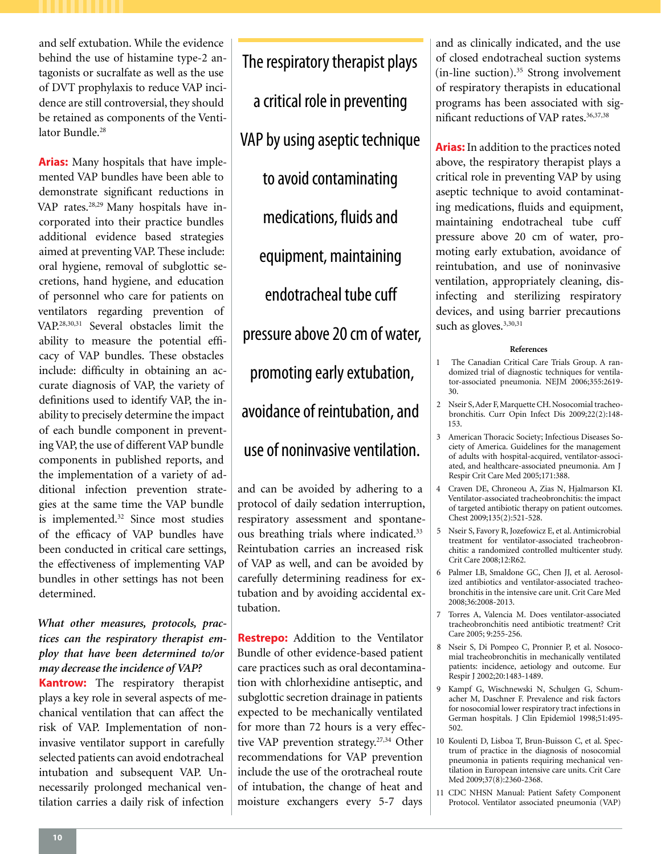and self extubation. While the evidence behind the use of histamine type-2 antagonists or sucralfate as well as the use of DVT prophylaxis to reduce VAP incidence are still controversial, they should be retained as components of the Ventilator Bundle.<sup>28</sup>

**Arias:** Many hospitals that have implemented VAP bundles have been able to demonstrate significant reductions in VAP rates.28,29 Many hospitals have incorporated into their practice bundles additional evidence based strategies aimed at preventing VAP. These include: oral hygiene, removal of subglottic secretions, hand hygiene, and education of personnel who care for patients on ventilators regarding prevention of VAP.28,30,31 Several obstacles limit the ability to measure the potential efficacy of VAP bundles. These obstacles include: difficulty in obtaining an accurate diagnosis of VAP, the variety of definitions used to identify VAP, the inability to precisely determine the impact of each bundle component in preventing VAP, the use of different VAP bundle components in published reports, and the implementation of a variety of additional infection prevention strategies at the same time the VAP bundle is implemented.<sup>32</sup> Since most studies of the efficacy of VAP bundles have been conducted in critical care settings, the effectiveness of implementing VAP bundles in other settings has not been determined.

## *What other measures, protocols, practices can the respiratory therapist employ that have been determined to/or may decrease the incidence of VAP?*

**Kantrow:** The respiratory therapist plays a key role in several aspects of mechanical ventilation that can affect the risk of VAP. Implementation of noninvasive ventilator support in carefully selected patients can avoid endotracheal intubation and subsequent VAP. Unnecessarily prolonged mechanical ventilation carries a daily risk of infection

The respiratory therapist plays a critical role in preventing VAP by using aseptic technique to avoid contaminating medications, fluids and equipment, maintaining endotracheal tube cuff pressure above 20 cm of water, promoting early extubation, avoidance of reintubation, and use of noninvasive ventilation.

and can be avoided by adhering to a protocol of daily sedation interruption, respiratory assessment and spontaneous breathing trials where indicated.<sup>33</sup> Reintubation carries an increased risk of VAP as well, and can be avoided by carefully determining readiness for extubation and by avoiding accidental extubation.

**Restrepo:** Addition to the Ventilator Bundle of other evidence-based patient care practices such as oral decontamination with chlorhexidine antiseptic, and subglottic secretion drainage in patients expected to be mechanically ventilated for more than 72 hours is a very effective VAP prevention strategy.<sup>27,34</sup> Other recommendations for VAP prevention include the use of the orotracheal route of intubation, the change of heat and moisture exchangers every 5-7 days

and as clinically indicated, and the use of closed endotracheal suction systems  $(in-line section).$ <sup>35</sup> Strong involvement of respiratory therapists in educational programs has been associated with significant reductions of VAP rates.<sup>36,37,38</sup>

**Arias:** In addition to the practices noted above, the respiratory therapist plays a critical role in preventing VAP by using aseptic technique to avoid contaminating medications, fluids and equipment, maintaining endotracheal tube cuff pressure above 20 cm of water, promoting early extubation, avoidance of reintubation, and use of noninvasive ventilation, appropriately cleaning, disinfecting and sterilizing respiratory devices, and using barrier precautions such as gloves.<sup>3,30,31</sup>

#### **References**

- 1 The Canadian Critical Care Trials Group. A randomized trial of diagnostic techniques for ventilator-associated pneumonia. NEJM 2006;355:2619- 30.
- 2 Nseir S, Ader F, Marquette CH. Nosocomial tracheobronchitis. Curr Opin Infect Dis 2009;22(2):148- 153.
- 3 American Thoracic Society; Infectious Diseases Society of America. Guidelines for the management of adults with hospital-acquired, ventilator-associated, and healthcare-associated pneumonia. Am J Respir Crit Care Med 2005;171:388.
- 4 Craven DE, Chroneou A, Zias N, Hjalmarson KI. Ventilator-associated tracheobronchitis: the impact of targeted antibiotic therapy on patient outcomes. Chest 2009;135(2):521-528.
- 5 Nseir S, Favory R, Jozefowicz E, et al. Antimicrobial treatment for ventilator-associated tracheobronchitis: a randomized controlled multicenter study. Crit Care 2008;12:R62.
- 6 Palmer LB, Smaldone GC, Chen JJ, et al. Aerosolized antibiotics and ventilator-associated tracheobronchitis in the intensive care unit. Crit Care Med 2008;36:2008-2013.
- 7 Torres A, Valencia M. Does ventilator-associated tracheobronchitis need antibiotic treatment? Crit Care 2005; 9:255-256.
- Nseir S, Di Pompeo C, Pronnier P, et al. Nosocomial tracheobronchitis in mechanically ventilated patients: incidence, aetiology and outcome. Eur Respir J 2002;20:1483-1489.
- 9 Kampf G, Wischnewski N, Schulgen G, Schumacher M, Daschner F. Prevalence and risk factors for nosocomial lower respiratory tract infections in German hospitals. J Clin Epidemiol 1998;51:495- 502.
- 10 Koulenti D, Lisboa T, Brun-Buisson C, et al. Spectrum of practice in the diagnosis of nosocomial pneumonia in patients requiring mechanical ventilation in European intensive care units. Crit Care Med 2009;37(8):2360-2368.
- 11 CDC NHSN Manual: Patient Safety Component Protocol. Ventilator associated pneumonia (VAP)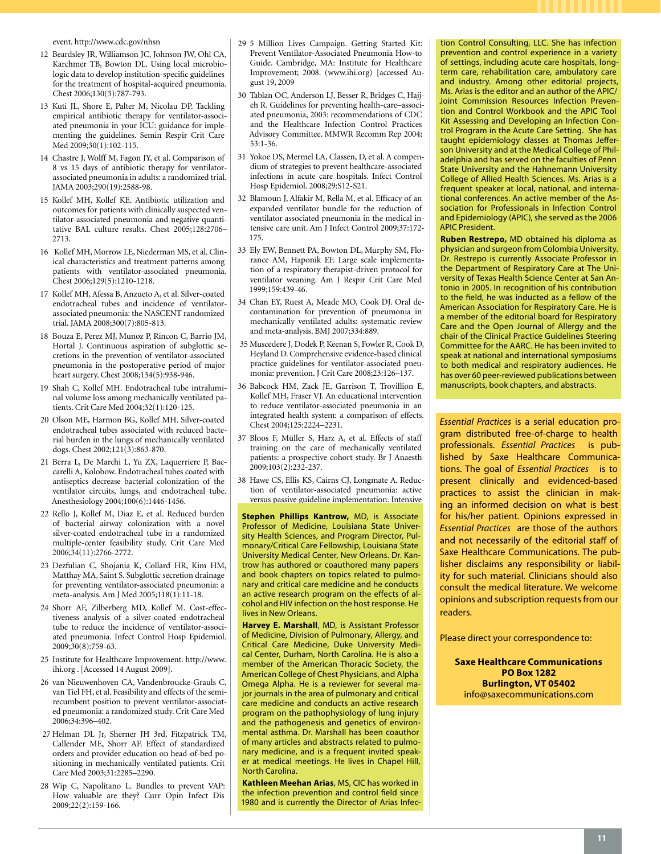event. http://www.cdc.gov/nhsn

- 12 Beardsley JR, Williamson JC, Johnson JW, Ohl CA, Karchmer TB, Bowton DL. Using local microbiologic data to develop institution-specific guidelines for the treatment of hospital-acquired pneumonia. Chest 2006;130(3):787-793.
- 13 Kuti JL, Shore E, Palter M, Nicolau DP. Tackling empirical antibiotic therapy for ventilator-associated pneumonia in your ICU: guidance for implementing the guidelines. Semin Respir Crit Care Med 2009;30(1):102-115.
- 14 Chastre J, Wolff M, Fagon JY, et al. Comparison of 8 vs 15 days of antibiotic therapy for ventilatorassociated pneumonia in adults: a randomized trial. JAMA 2003;290(19):2588-98.
- 15 Kollef MH, Kollef KE. Antibiotic utilization and outcomes for patients with clinically suspected ventilator-associated pneumonia and negative quantitative BAL culture results. Chest 2005;128:2706– 2713.
- 16 Kollef MH, Morrow LE, Niederman MS, et al. Clinical characteristics and treatment patterns among patients with ventilator-associated pneumonia. Chest 2006;129(5):1210-1218.
- 17 Kollef MH, Afessa B, Anzueto A, et al. Silver-coated endotracheal tubes and incidence of ventilatorassociated pneumonia: the NASCENT randomized trial. JAMA 2008;300(7):805-813.
- 18 Bouza E, Perez MJ, Munoz P, Rincon C, Barrio JM, Hortal J. Continuous aspiration of subglottic secretions in the prevention of ventilator-associated pneumonia in the postoperative period of major heart surgery. Chest 2008;134(5):938-946.
- 19 Shah C, Kollef MH. Endotracheal tube intraluminal volume loss among mechanically ventilated patients. Crit Care Med 2004;32(1):120-125.
- 20 Olson ME, Harmon BG, Kollef MH. Silver-coated endotracheal tubes associated with reduced bacterial burden in the lungs of mechanically ventilated dogs. Chest 2002;121(3):863-870.
- 21 Berra L, De Marchi L, Yu ZX, Laquerriere P, Baccarelli A, Kolobow. Endotracheal tubes coated with antiseptics decrease bacterial colonization of the ventilator circuits, lungs, and endotracheal tube. Anesthesiology 2004;100(6):1446-1456.
- 22 Rello J, Kollef M, Diaz E, et al. Reduced burden of bacterial airway colonization with a novel silver-coated endotracheal tube in a randomized multiple-center feasibility study. Crit Care Med 2006;34(11):2766-2772.
- 23 Dezfulian C, Shojania K, Collard HR, Kim HM, Matthay MA, Saint S. Subglottic secretion drainage for preventing ventilator-associated pneumonia: a meta-analysis. Am J Med 2005;118(1):11-18.
- 24 Shorr AF, Zilberberg MD, Kollef M. Cost-effectiveness analysis of a silver-coated endotracheal tube to reduce the incidence of ventilator-associated pneumonia. Infect Control Hosp Epidemiol. 2009;30(8):759-63.
- 25 Institute for Healthcare Improvement. http://www. ihi.org . [Accessed 14 August 2009].
- 26 van Nieuwenhoven CA, Vandenbroucke-Grauls C, van Tiel FH, et al. Feasibility and effects of the semirecumbent position to prevent ventilator-associated pneumonia: a randomized study. Crit Care Med 2006;34:396–402.
- 27 Helman DL Jr, Sherner JH 3rd, Fitzpatrick TM, Callender ME, Shorr AF. Effect of standardized orders and provider education on head-of-bed positioning in mechanically ventilated patients. Crit Care Med 2003;31:2285–2290.
- 28 Wip C, Napolitano L. Bundles to prevent VAP: How valuable are they? Curr Opin Infect Dis 2009;22(2):159-166.
- 29 5 Million Lives Campaign. Getting Started Kit: Prevent Ventilator-Associated Pneumonia How-to Guide. Cambridge, MA: Institute for Healthcare Improvement; 2008. (www.ihi.org) [accessed August 19, 2009
- 30 Tablan OC, Anderson LJ, Besser R, Bridges C, Hajjeh R. Guidelines for preventing health-care–associated pneumonia, 2003: recommendations of CDC and the Healthcare Infection Control Practices Advisory Committee. MMWR Recomm Rep 2004; 53:1-36.
- 31 Yokoe DS, Mermel LA, Classen, D, et al. A compendium of strategies to prevent healthcare-associated infections in acute care hospitals. Infect Control Hosp Epidemiol. 2008;29:S12-S21.
- 32 Blamoun J, Alfakir M, Rella M, et al. Efficacy of an expanded ventilator bundle for the reduction of ventilator associated pneumonia in the medical intensive care unit. Am J Infect Control 2009;37:172- 175.
- 33 Ely EW, Bennett PA, Bowton DL, Murphy SM, Florance AM, Haponik EF. Large scale implementation of a respiratory therapist-driven protocol for ventilator weaning. Am J Respir Crit Care Med 1999;159:439-46.
- 34 Chan EY, Ruest A, Meade MO, Cook DJ. Oral decontamination for prevention of pneumonia in mechanically ventilated adults: systematic review and meta-analysis. BMJ 2007;334:889.
- 35 Muscedere J, Dodek P, Keenan S, Fowler R, Cook D, Heyland D. Comprehensive evidence-based clinical practice guidelines for ventilator-associated pneumonia: prevention. J Crit Care 2008;23:126–137.
- 36 Babcock HM, Zack JE, Garrison T, Trovillion E, Kollef MH, Fraser VJ. An educational intervention to reduce ventilator-associated pneumonia in an integrated health system: a comparison of effects. Chest 2004;125:2224–2231.
- 37 Bloos F, Müller S, Harz A, et al. Effects of staff training on the care of mechanically ventilated patients: a prospective cohort study. Br J Anaesth 2009;103(2):232-237.
- 38 Hawe CS, Ellis KS, Cairns CJ, Longmate A. Reduction of ventilator-associated pneumonia: active versus passive guideline implementation. Intensive

Stephen Phillips Kantrow, MD, is Associate Professor of Medicine, Louisiana State University Health Sciences, and Program Director, Pulmonary/Critical Care Fellowship, Louisiana State University Medical Center, New Orleans. Dr. Kantrow has authored or coauthored many papers and book chapters on topics related to pulmonary and critical care medicine and he conducts an active research program on the effects of alcohol and HIV infection on the host response. He lives in New Orleans.

**Harvey E. Marshall**, MD, is Assistant Professor of Medicine, Division of Pulmonary, Allergy, and Critical Care Medicine, Duke University Medical Center, Durham, North Carolina. He is also a member of the American Thoracic Society, the American College of Chest Physicians, and Alpha Omega Alpha. He is a reviewer for several major journals in the area of pulmonary and critical care medicine and conducts an active research program on the pathophysiology of lung injury and the pathogenesis and genetics of environmental asthma. Dr. Marshall has been coauthor of many articles and abstracts related to pulmonary medicine, and is a frequent invited speaker at medical meetings. He lives in Chapel Hill, North Carolina.

**Kathleen Meehan Arias**, MS, CIC has worked in the infection prevention and control field since 1980 and is currently the Director of Arias Infection Control Consulting, LLC. She has infection prevention and control experience in a variety of settings, including acute care hospitals, longterm care, rehabilitation care, ambulatory care and industry. Among other editorial projects, Ms. Arias is the editor and an author of the APIC/ Joint Commission Resources Infection Prevention and Control Workbook and the APIC Tool Kit Assessing and Developing an Infection Control Program in the Acute Care Setting. She has taught epidemiology classes at Thomas Jefferson University and at the Medical College of Philadelphia and has served on the faculties of Penn State University and the Hahnemann University College of Allied Health Sciences. Ms. Arias is a frequent speaker at local, national, and international conferences. An active member of the Association for Professionals in Infection Control and Epidemiology (APIC), she served as the 2006 APIC President.

**Ruben Restrepo,** MD obtained his diploma as physician and surgeon from Colombia University. Dr. Restrepo is currently Associate Professor in the Department of Respiratory Care at The University of Texas Health Science Center at San Antonio in 2005. In recognition of his contribution to the field, he was inducted as a fellow of the American Association for Respiratory Care. He is a member of the editorial board for Respiratory Care and the Open Journal of Allergy and the chair of the Clinical Practice Guidelines Steering Committee for the AARC. He has been invited to speak at national and international symposiums to both medical and respiratory audiences. He has over 60 peer-reviewed publications between manuscripts, book chapters, and abstracts.

*Essential Practices* is a serial education program distributed free-of-charge to health professionals. *Essential Practices* is published by Saxe Healthcare Communications. The goal of *Essential Practices* is to present clinically and evidenced-based practices to assist the clinician in making an informed decision on what is best for his/her patient. Opinions expressed in *Essential Practices* are those of the authors and not necessarily of the editorial staff of Saxe Healthcare Communications. The publisher disclaims any responsibility or liability for such material. Clinicians should also consult the medical literature. We welcome opinions and subscription requests from our readers.

Please direct your correspondence to:

**Saxe Healthcare Communications PO Box 1282 Burlington, VT 05402** info@saxecommunications.com